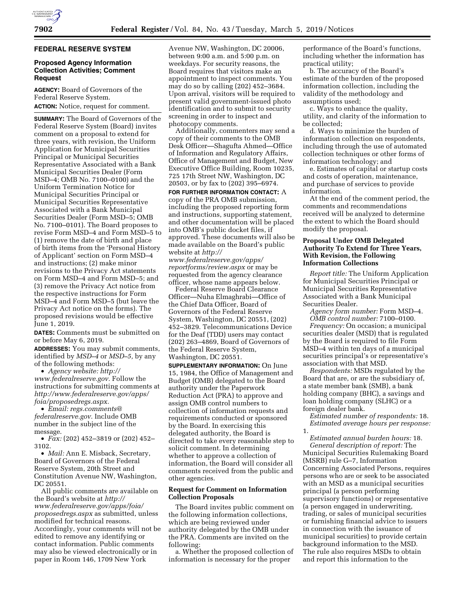### **FEDERAL RESERVE SYSTEM**

### **Proposed Agency Information Collection Activities; Comment Request**

**AGENCY:** Board of Governors of the Federal Reserve System. **ACTION:** Notice, request for comment.

**SUMMARY:** The Board of Governors of the Federal Reserve System (Board) invites comment on a proposal to extend for three years, with revision, the Uniform Application for Municipal Securities Principal or Municipal Securities Representative Associated with a Bank Municipal Securities Dealer (Form MSD–4; OMB No. 7100–0100) and the Uniform Termination Notice for Municipal Securities Principal or Municipal Securities Representative Associated with a Bank Municipal Securities Dealer (Form MSD–5; OMB No. 7100–0101). The Board proposes to revise Form MSD–4 and Form MSD–5 to (1) remove the date of birth and place of birth items from the 'Personal History of Applicant' section on Form MSD–4 and instructions; (2) make minor revisions to the Privacy Act statements on Form MSD–4 and Form MSD–5; and (3) remove the Privacy Act notice from the respective instructions for Form MSD–4 and Form MSD–5 (but leave the Privacy Act notice on the forms). The proposed revisions would be effective June 1, 2019.

**DATES:** Comments must be submitted on or before May 6, 2019.

**ADDRESSES:** You may submit comments, identified by *MSD–4* or *MSD–5,* by any of the following methods:

• *Agency website: [http://](http://www.federalreserve.gov) [www.federalreserve.gov.](http://www.federalreserve.gov)* Follow the instructions for submitting comments at *[http://www.federalreserve.gov/apps/](http://www.federalreserve.gov/apps/foia/proposedregs.aspx) [foia/proposedregs.aspx.](http://www.federalreserve.gov/apps/foia/proposedregs.aspx)* 

• *Email: [regs.comments@](mailto:regs.comments@federalreserve.gov) [federalreserve.gov.](mailto:regs.comments@federalreserve.gov)* Include OMB number in the subject line of the message.

• *Fax:* (202) 452–3819 or (202) 452– 3102.

• *Mail:* Ann E. Misback, Secretary, Board of Governors of the Federal Reserve System, 20th Street and Constitution Avenue NW, Washington, DC 20551.

All public comments are available on the Board's website at *[http://](http://www.federalreserve.gov/apps/foia/proposedregs.aspx) [www.federalreserve.gov/apps/foia/](http://www.federalreserve.gov/apps/foia/proposedregs.aspx) [proposedregs.aspx](http://www.federalreserve.gov/apps/foia/proposedregs.aspx)* as submitted, unless modified for technical reasons. Accordingly, your comments will not be edited to remove any identifying or contact information. Public comments may also be viewed electronically or in paper in Room 146, 1709 New York

Avenue NW, Washington, DC 20006, between 9:00 a.m. and 5:00 p.m. on weekdays. For security reasons, the Board requires that visitors make an appointment to inspect comments. You may do so by calling (202) 452–3684. Upon arrival, visitors will be required to present valid government-issued photo identification and to submit to security screening in order to inspect and photocopy comments.

Additionally, commenters may send a copy of their comments to the OMB Desk Officer—Shagufta Ahmed—Office of Information and Regulatory Affairs, Office of Management and Budget, New Executive Office Building, Room 10235, 725 17th Street NW, Washington, DC 20503, or by fax to (202) 395–6974.

**FOR FURTHER INFORMATION CONTACT:** A copy of the PRA OMB submission, including the proposed reporting form and instructions, supporting statement, and other documentation will be placed into OMB's public docket files, if approved. These documents will also be made available on the Board's public website at *[http://](http://www.federalreserve.gov/apps/reportforms/review.aspx)*

*[www.federalreserve.gov/apps/](http://www.federalreserve.gov/apps/reportforms/review.aspx)  [reportforms/review.aspx](http://www.federalreserve.gov/apps/reportforms/review.aspx)* or may be requested from the agency clearance officer, whose name appears below.

Federal Reserve Board Clearance Officer—Nuha Elmaghrabi—Office of the Chief Data Officer, Board of Governors of the Federal Reserve System, Washington, DC 20551, (202) 452–3829. Telecommunications Device for the Deaf (TDD) users may contact (202) 263–4869, Board of Governors of the Federal Reserve System, Washington, DC 20551.

**SUPPLEMENTARY INFORMATION:** On June 15, 1984, the Office of Management and Budget (OMB) delegated to the Board authority under the Paperwork Reduction Act (PRA) to approve and assign OMB control numbers to collection of information requests and requirements conducted or sponsored by the Board. In exercising this delegated authority, the Board is directed to take every reasonable step to solicit comment. In determining whether to approve a collection of information, the Board will consider all comments received from the public and other agencies.

### **Request for Comment on Information Collection Proposals**

The Board invites public comment on the following information collections, which are being reviewed under authority delegated by the OMB under the PRA. Comments are invited on the following:

a. Whether the proposed collection of information is necessary for the proper

performance of the Board's functions, including whether the information has practical utility;

b. The accuracy of the Board's estimate of the burden of the proposed information collection, including the validity of the methodology and assumptions used;

c. Ways to enhance the quality, utility, and clarity of the information to be collected;

d. Ways to minimize the burden of information collection on respondents, including through the use of automated collection techniques or other forms of information technology; and

e. Estimates of capital or startup costs and costs of operation, maintenance, and purchase of services to provide information.

At the end of the comment period, the comments and recommendations received will be analyzed to determine the extent to which the Board should modify the proposal.

# **Proposal Under OMB Delegated Authority To Extend for Three Years, With Revision, the Following Information Collections**

*Report title:* The Uniform Application for Municipal Securities Principal or Municipal Securities Representative Associated with a Bank Municipal Securities Dealer.

*Agency form number:* Form MSD–4. *OMB control number:* 7100–0100.

*Frequency:* On occasion; a municipal securities dealer (MSD) that is regulated by the Board is required to file Form MSD–4 within ten days of a municipal securities principal's or representative's association with that MSD.

*Respondents:* MSDs regulated by the Board that are, or are the subsidiary of, a state member bank (SMB), a bank holding company (BHC), a savings and loan holding company (SLHC) or a foreign dealer bank.

*Estimated number of respondents:* 18. *Estimated average hours per response:*  1.

*Estimated annual burden hours:* 18. *General description of report:* The Municipal Securities Rulemaking Board (MSRB) rule G–7, Information Concerning Associated Persons, requires persons who are or seek to be associated with an MSD as a municipal securities principal (a person performing supervisory functions) or representative (a person engaged in underwriting, trading, or sales of municipal securities or furnishing financial advice to issuers in connection with the issuance of municipal securities) to provide certain background information to the MSD. The rule also requires MSDs to obtain and report this information to the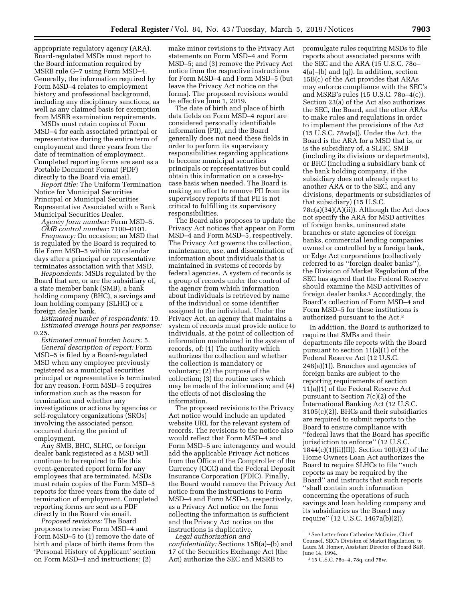appropriate regulatory agency (ARA). Board-regulated MSDs must report to the Board information required by MSRB rule G–7 using Form MSD–4. Generally, the information required by Form MSD–4 relates to employment history and professional background, including any disciplinary sanctions, as well as any claimed basis for exemption from MSRB examination requirements.

MSDs must retain copies of Form MSD–4 for each associated principal or representative during the entire term of employment and three years from the date of termination of employment. Completed reporting forms are sent as a Portable Document Format (PDF) directly to the Board via email.

*Report title:* The Uniform Termination Notice for Municipal Securities Principal or Municipal Securities Representative Associated with a Bank Municipal Securities Dealer.

*Agency form number:* Form MSD–5. *OMB control number:* 7100–0101.

*Frequency:* On occasion; an MSD that is regulated by the Board is required to file Form MSD–5 within 30 calendar days after a principal or representative terminates association with that MSD.

*Respondents:* MSDs regulated by the Board that are, or are the subsidiary of, a state member bank (SMB), a bank holding company (BHC), a savings and loan holding company (SLHC) or a foreign dealer bank.

*Estimated number of respondents:* 19. *Estimated average hours per response:*  0.25.

*Estimated annual burden hours:* 5. *General description of report:* Form MSD–5 is filed by a Board-regulated MSD when any employee previously registered as a municipal securities principal or representative is terminated for any reason. Form MSD–5 requires information such as the reason for termination and whether any investigations or actions by agencies or self-regulatory organizations (SROs) involving the associated person occurred during the period of employment.

Any SMB, BHC, SLHC, or foreign dealer bank registered as a MSD will continue to be required to file this event-generated report form for any employees that are terminated. MSDs must retain copies of the Form MSD–5 reports for three years from the date of termination of employment. Completed reporting forms are sent as a PDF directly to the Board via email.

*Proposed revisions:* The Board proposes to revise Form MSD–4 and Form MSD–5 to (1) remove the date of birth and place of birth items from the 'Personal History of Applicant' section on Form MSD–4 and instructions; (2)

make minor revisions to the Privacy Act statements on Form MSD–4 and Form MSD–5; and (3) remove the Privacy Act notice from the respective instructions for Form MSD–4 and Form MSD–5 (but leave the Privacy Act notice on the forms). The proposed revisions would be effective June 1, 2019.

The date of birth and place of birth data fields on Form MSD–4 report are considered personally identifiable information (PII), and the Board generally does not need these fields in order to perform its supervisory responsibilities regarding applications to become municipal securities principals or representatives but could obtain this information on a case-bycase basis when needed. The Board is making an effort to remove PII from its supervisory reports if that PII is not critical to fulfilling its supervisory responsibilities.

The Board also proposes to update the Privacy Act notices that appear on Form MSD–4 and Form MSD–5, respectively. The Privacy Act governs the collection, maintenance, use, and dissemination of information about individuals that is maintained in systems of records by federal agencies. A system of records is a group of records under the control of the agency from which information about individuals is retrieved by name of the individual or some identifier assigned to the individual. Under the Privacy Act, an agency that maintains a system of records must provide notice to individuals, at the point of collection of information maintained in the system of records, of: (1) The authority which authorizes the collection and whether the collection is mandatory or voluntary; (2) the purpose of the collection; (3) the routine uses which may be made of the information; and (4) the effects of not disclosing the information.

The proposed revisions to the Privacy Act notice would include an updated website URL for the relevant system of records. The revisions to the notice also would reflect that Form MSD–4 and Form MSD–5 are interagency and would add the applicable Privacy Act notices from the Office of the Comptroller of the Currency (OCC) and the Federal Deposit Insurance Corporation (FDIC). Finally, the Board would remove the Privacy Act notice from the instructions to Form MSD–4 and Form MSD–5, respectively, as a Privacy Act notice on the form collecting the information is sufficient and the Privacy Act notice on the instructions is duplicative.

*Legal authorization and confidentiality:* Sections 15B(a)–(b) and 17 of the Securities Exchange Act (the Act) authorize the SEC and MSRB to

promulgate rules requiring MSDs to file reports about associated persons with the SEC and the ARA (15 U.S.C. 78o– 4(a)–(b) and (q)). In addition, section 15B(c) of the Act provides that ARAs may enforce compliance with the SEC's and MSRB's rules (15 U.S.C. 78o–4(c)). Section 23(a) of the Act also authorizes the SEC, the Board, and the other ARAs to make rules and regulations in order to implement the provisions of the Act  $(15 \text{ U.S.C. } 78 \text{w(a)})$ . Under the Act, the Board is the ARA for a MSD that is, or is the subsidiary of, a SLHC, SMB (including its divisions or departments), or BHC (including a subsidiary bank of the bank holding company, if the subsidiary does not already report to another ARA or to the SEC, and any divisions, departments or subsidiaries of that subsidiary) (15 U.S.C. 78c(a)(34)(A)(ii)). Although the Act does not specify the ARA for MSD activities of foreign banks, uninsured state branches or state agencies of foreign banks, commercial lending companies owned or controlled by a foreign bank, or Edge Act corporations (collectively referred to as ''foreign dealer banks''), the Division of Market Regulation of the SEC has agreed that the Federal Reserve should examine the MSD activities of foreign dealer banks.1 Accordingly, the Board's collection of Form MSD–4 and Form MSD–5 for these institutions is authorized pursuant to the Act.2

In addition, the Board is authorized to require that SMBs and their departments file reports with the Board pursuant to section 11(a)(1) of the Federal Reserve Act (12 U.S.C. 248(a)(1)). Branches and agencies of foreign banks are subject to the reporting requirements of section 11(a)(1) of the Federal Reserve Act pursuant to Section 7(c)(2) of the International Banking Act (12 U.S.C. 3105(c)(2)). BHCs and their subsidiaries are required to submit reports to the Board to ensure compliance with ''federal laws that the Board has specific jurisdiction to enforce'' (12 U.S.C. 1844(c)(1)(ii)(II)). Section 10(b)(2) of the Home Owners Loan Act authorizes the Board to require SLHCs to file ''such reports as may be required by the Board'' and instructs that such reports ''shall contain such information concerning the operations of such savings and loan holding company and its subsidiaries as the Board may require'' (12 U.S.C. 1467a(b)(2)).

<sup>1</sup>See Letter from Catherine McGuire, Chief Counsel, SEC's Division of Market Regulation, to Laura M. Homer, Assistant Director of Board S&R, June 14, 1994.

<sup>2</sup> 15 U.S.C. 78o–4, 78q, and 78w.